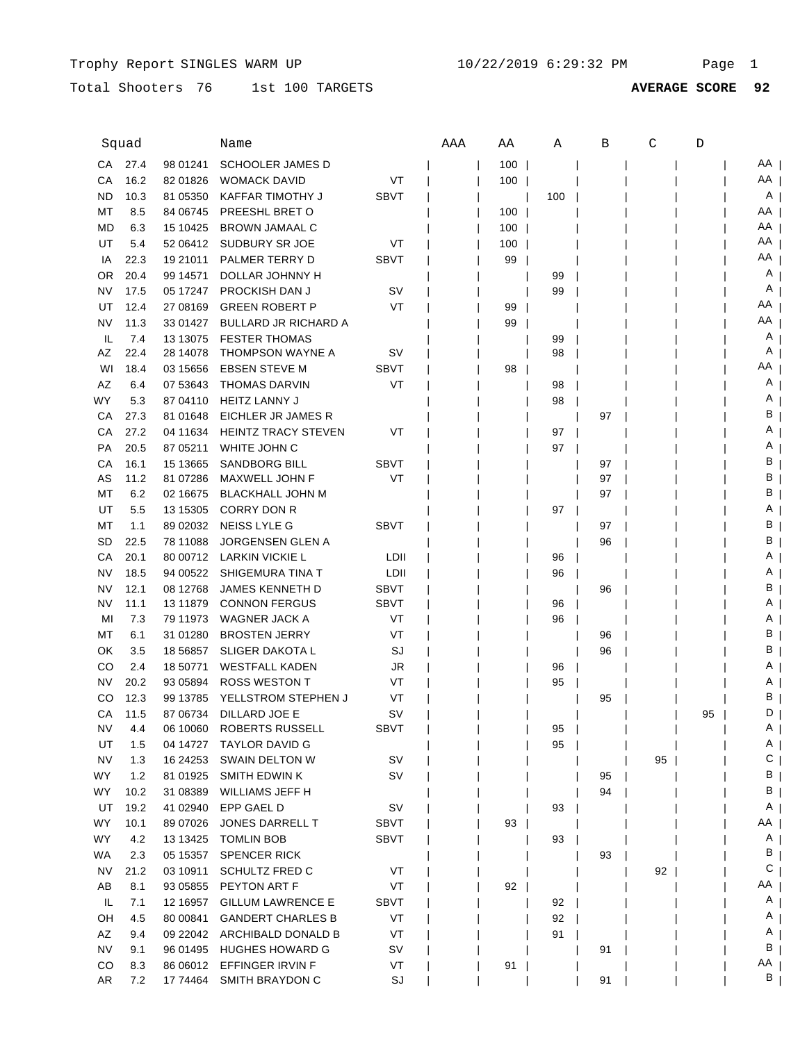Total Shooters 76 1st 100 TARGETS **AVERAGE SCORE 92**

| Squad     |      |            | Name                        |             | AAA | ΑA  | Α   | В  | C  | D  |    |
|-----------|------|------------|-----------------------------|-------------|-----|-----|-----|----|----|----|----|
| CA        | 27.4 | 98 01241   | <b>SCHOOLER JAMES D</b>     |             |     | 100 |     |    |    |    | AA |
| СA        | 16.2 | 82 01826   | <b>WOMACK DAVID</b>         | VT          |     | 100 |     |    |    |    | AA |
| ND        | 10.3 | 81 05350   | KAFFAR TIMOTHY J            | <b>SBVT</b> |     |     | 100 |    |    |    | A  |
| МT        | 8.5  | 84 06745   | PREESHL BRET O              |             |     | 100 |     |    |    |    | AA |
| MD        | 6.3  | 15 10425   | <b>BROWN JAMAAL C</b>       |             |     | 100 |     |    |    |    | AA |
| UT        | 5.4  |            | 52 06412 SUDBURY SR JOE     | VT          |     | 100 |     |    |    |    | AA |
| IA        | 22.3 | 19 21011   | PALMER TERRY D              | <b>SBVT</b> |     | 99  |     |    |    |    | ΑA |
| OR        | 20.4 | 99 14571   | DOLLAR JOHNNY H             |             |     |     | 99  |    |    |    | Α  |
| NV        | 17.5 | 05 17247   | <b>PROCKISH DAN J</b>       | sv          |     |     | 99  |    |    |    | A  |
| UT        | 12.4 | 27 08 169  | <b>GREEN ROBERT P</b>       | VT          |     | 99  |     |    |    |    | ΑA |
| NV        | 11.3 | 33 01427   | <b>BULLARD JR RICHARD A</b> |             |     | 99  |     |    |    |    | ΑA |
| IL.       | 7.4  | 13 13 075  | <b>FESTER THOMAS</b>        |             |     |     | 99  |    |    |    | Α  |
| AΖ        | 22.4 | 28 14078   | THOMPSON WAYNE A            | sv          |     |     | 98  |    |    |    | Α  |
| WI        | 18.4 | 03 15656   | <b>EBSEN STEVE M</b>        | <b>SBVT</b> |     | 98  |     |    |    |    | ΑA |
| AZ        | 6.4  | 07 53 643  | <b>THOMAS DARVIN</b>        | VT          |     |     | 98  |    |    |    | Α  |
| WY        | 5.3  | 87 04110   | <b>HEITZ LANNY J</b>        |             |     |     | 98  |    |    |    | Α  |
| СA        | 27.3 | 81 01 648  | EICHLER JR JAMES R          |             |     |     |     | 97 |    |    | в  |
| СA        | 27.2 | 04 11 634  | <b>HEINTZ TRACY STEVEN</b>  | VT          |     |     | 97  |    |    |    | Α  |
| PA        | 20.5 | 87 05211   | WHITE JOHN C                |             |     |     | 97  |    |    |    | Α  |
| СA        | 16.1 | 15 13665   | <b>SANDBORG BILL</b>        | <b>SBVT</b> |     |     |     | 97 |    |    | В  |
| AS        | 11.2 | 81 07286   | MAXWELL JOHN F              | VT          |     |     |     | 97 |    |    | В  |
| МT        | 6.2  | 02 16675   | <b>BLACKHALL JOHN M</b>     |             |     |     |     | 97 |    |    | В  |
| UT        | 5.5  | 13 15305   | <b>CORRY DON R</b>          |             |     |     | 97  |    |    |    | Α  |
| МT        | 1.1  | 89 02032   | <b>NEISS LYLE G</b>         | <b>SBVT</b> |     |     |     | 97 |    |    | В  |
| <b>SD</b> | 22.5 | 78 11088   | <b>JORGENSEN GLEN A</b>     |             |     |     |     | 96 |    |    | в  |
| СA        | 20.1 | 80 00712   | LARKIN VICKIE L             | LDII        |     |     | 96  |    |    |    | A  |
| NV        | 18.5 | 94 00522   | SHIGEMURA TINA T            | LDII        |     |     | 96  |    |    |    | A  |
| NV        | 12.1 | 08 12768   | JAMES KENNETH D             | <b>SBVT</b> |     |     |     | 96 |    |    | В  |
| NV        | 11.1 | 13 11 879  | <b>CONNON FERGUS</b>        | <b>SBVT</b> |     |     | 96  |    |    |    | Α  |
| MI        | 7.3  | 79 11973   | WAGNER JACK A               | VT          |     |     | 96  |    |    |    | Α  |
| МT        | 6.1  | 31 01280   | <b>BROSTEN JERRY</b>        | VT          |     |     |     | 96 |    |    | в  |
| ΟK        | 3.5  | 18 5 68 57 | <b>SLIGER DAKOTA L</b>      | SJ          |     |     |     | 96 |    |    | в  |
| CО        | 2.4  | 18 50771   | <b>WESTFALL KADEN</b>       | JR          |     |     | 96  |    |    |    | Α  |
| NV        | 20.2 | 93 05894   | <b>ROSS WESTON T</b>        | VT          |     |     | 95  |    |    |    | Α  |
| CО        | 12.3 | 99 13785   | YELLSTROM STEPHEN J         | VT          |     |     |     | 95 |    |    | в  |
| CА        | 11.5 | 87 06734   | DILLARD JOE E               | sv          |     |     |     |    |    | 95 | D  |
| ΝV        | 4.4  | 06 10060   | ROBERTS RUSSELL             | SBVT        |     |     | 95  |    |    |    | A  |
| UT        | 1.5  | 04 14727   | <b>TAYLOR DAVID G</b>       |             |     |     | 95  |    |    |    | A  |
| <b>NV</b> | 1.3  | 16 24 25 3 | SWAIN DELTON W              | SV          |     |     |     |    | 95 |    | С  |
| <b>WY</b> | 1.2  | 81 01925   | SMITH EDWIN K               | SV          |     |     |     | 95 |    |    | В  |
| <b>WY</b> | 10.2 | 31 08389   | WILLIAMS JEFF H             |             |     |     |     | 94 |    |    | В  |
| UT        | 19.2 | 41 02940   | EPP GAEL D                  | SV          |     |     | 93  |    |    |    | A  |
| WY        | 10.1 | 89 07026   | JONES DARRELL T             | <b>SBVT</b> |     | 93  |     |    |    |    | AA |
| <b>WY</b> | 4.2  | 13 13 425  | <b>TOMLIN BOB</b>           | <b>SBVT</b> |     |     | 93  |    |    |    | A  |
| <b>WA</b> | 2.3  | 05 15357   | <b>SPENCER RICK</b>         |             |     |     |     | 93 |    |    | В  |
| <b>NV</b> | 21.2 | 03 10911   | <b>SCHULTZ FRED C</b>       | VT          |     |     |     |    | 92 |    | С  |
| AB        | 8.1  | 93 05855   | PEYTON ART F                | VT          |     | 92  |     |    |    |    | AA |
| IL        | 7.1  | 12 16 957  | <b>GILLUM LAWRENCE E</b>    | <b>SBVT</b> |     |     | 92  |    |    |    | A  |
| OH        | 4.5  | 80 00841   | <b>GANDERT CHARLES B</b>    | VT          |     |     | 92  |    |    |    | A  |
| AZ        | 9.4  | 09 22042   | ARCHIBALD DONALD B          | VT          |     |     | 91  |    |    |    | A  |
| <b>NV</b> | 9.1  | 96 01495   | <b>HUGHES HOWARD G</b>      | SV          |     |     |     | 91 |    |    | В  |
| CO        | 8.3  | 86 06012   | EFFINGER IRVIN F            | VT          |     | 91  |     |    |    |    | AA |
| AR        | 7.2  | 17 74464   | SMITH BRAYDON C             | SJ          |     |     |     | 91 |    |    | В  |